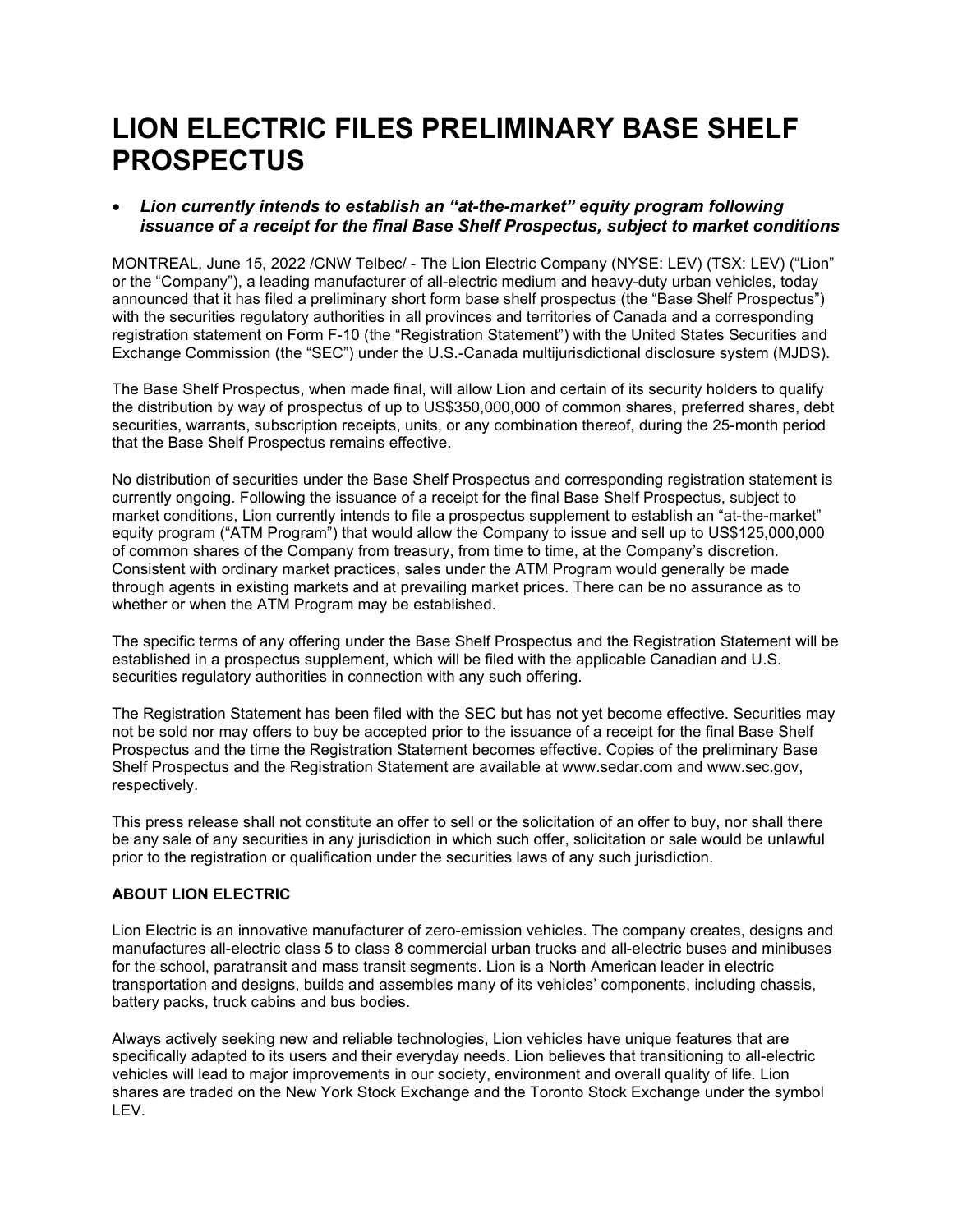# LION ELECTRIC FILES PRELIMINARY BASE SHELF PROSPECTUS

## Lion currently intends to establish an "at-the-market" equity program following issuance of a receipt for the final Base Shelf Prospectus, subject to market conditions

MONTREAL, June 15, 2022 /CNW Telbec/ - The Lion Electric Company (NYSE: LEV) (TSX: LEV) ("Lion" or the "Company"), a leading manufacturer of all-electric medium and heavy-duty urban vehicles, today announced that it has filed a preliminary short form base shelf prospectus (the "Base Shelf Prospectus") with the securities regulatory authorities in all provinces and territories of Canada and a corresponding registration statement on Form F-10 (the "Registration Statement") with the United States Securities and Exchange Commission (the "SEC") under the U.S.-Canada multijurisdictional disclosure system (MJDS).

The Base Shelf Prospectus, when made final, will allow Lion and certain of its security holders to qualify the distribution by way of prospectus of up to US\$350,000,000 of common shares, preferred shares, debt securities, warrants, subscription receipts, units, or any combination thereof, during the 25-month period that the Base Shelf Prospectus remains effective.

No distribution of securities under the Base Shelf Prospectus and corresponding registration statement is currently ongoing. Following the issuance of a receipt for the final Base Shelf Prospectus, subject to market conditions, Lion currently intends to file a prospectus supplement to establish an "at-the-market" equity program ("ATM Program") that would allow the Company to issue and sell up to US\$125,000,000 of common shares of the Company from treasury, from time to time, at the Company's discretion. Consistent with ordinary market practices, sales under the ATM Program would generally be made through agents in existing markets and at prevailing market prices. There can be no assurance as to whether or when the ATM Program may be established.

The specific terms of any offering under the Base Shelf Prospectus and the Registration Statement will be established in a prospectus supplement, which will be filed with the applicable Canadian and U.S. securities regulatory authorities in connection with any such offering.

The Registration Statement has been filed with the SEC but has not yet become effective. Securities may not be sold nor may offers to buy be accepted prior to the issuance of a receipt for the final Base Shelf Prospectus and the time the Registration Statement becomes effective. Copies of the preliminary Base Shelf Prospectus and the Registration Statement are available at www.sedar.com and www.sec.gov, respectively.

This press release shall not constitute an offer to sell or the solicitation of an offer to buy, nor shall there be any sale of any securities in any jurisdiction in which such offer, solicitation or sale would be unlawful prior to the registration or qualification under the securities laws of any such jurisdiction.

### ABOUT LION ELECTRIC

Lion Electric is an innovative manufacturer of zero-emission vehicles. The company creates, designs and manufactures all-electric class 5 to class 8 commercial urban trucks and all-electric buses and minibuses for the school, paratransit and mass transit segments. Lion is a North American leader in electric transportation and designs, builds and assembles many of its vehicles' components, including chassis, battery packs, truck cabins and bus bodies.

Always actively seeking new and reliable technologies, Lion vehicles have unique features that are specifically adapted to its users and their everyday needs. Lion believes that transitioning to all-electric vehicles will lead to major improvements in our society, environment and overall quality of life. Lion shares are traded on the New York Stock Exchange and the Toronto Stock Exchange under the symbol LEV.